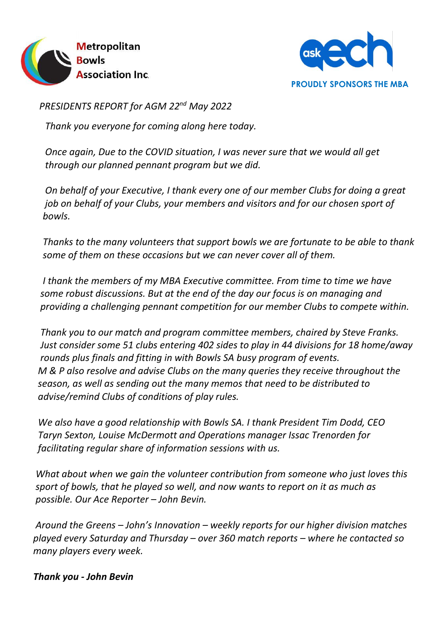



*PRESIDENTS REPORT for AGM 22nd May 2022*

 *Thank you everyone for coming along here today.*

 *Once again, Due to the COVID situation, I was never sure that we would all get through our planned pennant program but we did.* 

 *On behalf of your Executive, I thank every one of our member Clubs for doing a great job on behalf of your Clubs, your members and visitors and for our chosen sport of bowls.*

 *Thanks to the many volunteers that support bowls we are fortunate to be able to thank some of them on these occasions but we can never cover all of them.*

 *I thank the members of my MBA Executive committee. From time to time we have some robust discussions. But at the end of the day our focus is on managing and providing a challenging pennant competition for our member Clubs to compete within.*

 *Thank you to our match and program committee members, chaired by Steve Franks. Just consider some 51 clubs entering 402 sides to play in 44 divisions for 18 home/away rounds plus finals and fitting in with Bowls SA busy program of events. M & P also resolve and advise Clubs on the many queries they receive throughout the season, as well as sending out the many memos that need to be distributed to advise/remind Clubs of conditions of play rules.*

 *We also have a good relationship with Bowls SA. I thank President Tim Dodd, CEO Taryn Sexton, Louise McDermott and Operations manager Issac Trenorden for facilitating regular share of information sessions with us.*

 *What about when we gain the volunteer contribution from someone who just loves this sport of bowls, that he played so well, and now wants to report on it as much as possible. Our Ace Reporter – John Bevin.*

 *Around the Greens – John's Innovation – weekly reports for our higher division matches played every Saturday and Thursday – over 360 match reports – where he contacted so many players every week.*

 *Thank you - John Bevin*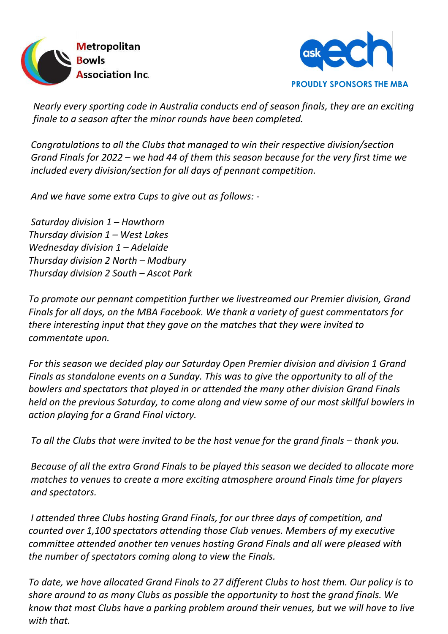



 *Nearly every sporting code in Australia conducts end of season finals, they are an exciting finale to a season after the minor rounds have been completed.* 

 *Congratulations to all the Clubs that managed to win their respective division/section Grand Finals for 2022 – we had 44 of them this season because for the very first time we included every division/section for all days of pennant competition.*

 *And we have some extra Cups to give out as follows: -*

 *Saturday division 1 – Hawthorn Thursday division 1 – West Lakes Wednesday division 1 – Adelaide Thursday division 2 North – Modbury Thursday division 2 South – Ascot Park*

 *To promote our pennant competition further we livestreamed our Premier division, Grand Finals for all days, on the MBA Facebook. We thank a variety of guest commentators for there interesting input that they gave on the matches that they were invited to commentate upon.*

 *For this season we decided play our Saturday Open Premier division and division 1 Grand Finals as standalone events on a Sunday. This was to give the opportunity to all of the bowlers and spectators that played in or attended the many other division Grand Finals held on the previous Saturday, to come along and view some of our most skillful bowlers in action playing for a Grand Final victory.*

 *To all the Clubs that were invited to be the host venue for the grand finals – thank you.* 

 *Because of all the extra Grand Finals to be played this season we decided to allocate more matches to venues to create a more exciting atmosphere around Finals time for players and spectators.*

 *I attended three Clubs hosting Grand Finals, for our three days of competition, and counted over 1,100 spectators attending those Club venues. Members of my executive committee attended another ten venues hosting Grand Finals and all were pleased with the number of spectators coming along to view the Finals.*

 *To date, we have allocated Grand Finals to 27 different Clubs to host them. Our policy is to share around to as many Clubs as possible the opportunity to host the grand finals. We know that most Clubs have a parking problem around their venues, but we will have to live with that.*